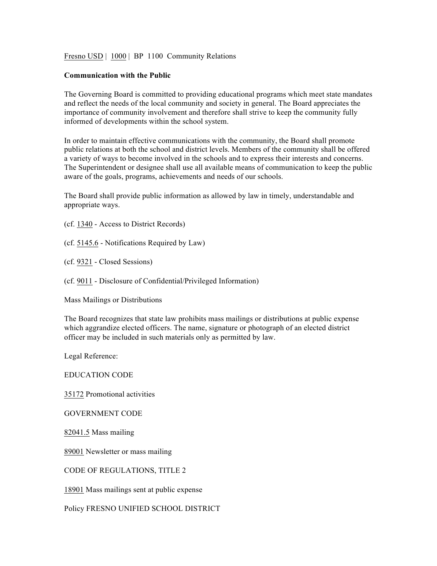Fresno USD | 1000 | BP 1100 Community Relations

## **Communication with the Public**

The Governing Board is committed to providing educational programs which meet state mandates and reflect the needs of the local community and society in general. The Board appreciates the importance of community involvement and therefore shall strive to keep the community fully informed of developments within the school system.

In order to maintain effective communications with the community, the Board shall promote public relations at both the school and district levels. Members of the community shall be offered a variety of ways to become involved in the schools and to express their interests and concerns. The Superintendent or designee shall use all available means of communication to keep the public aware of the goals, programs, achievements and needs of our schools.

The Board shall provide public information as allowed by law in timely, understandable and appropriate ways.

(cf. 1340 - Access to District Records)

(cf. 5145.6 - Notifications Required by Law)

(cf. 9321 - Closed Sessions)

(cf. 9011 - Disclosure of Confidential/Privileged Information)

Mass Mailings or Distributions

The Board recognizes that state law prohibits mass mailings or distributions at public expense which aggrandize elected officers. The name, signature or photograph of an elected district officer may be included in such materials only as permitted by law.

Legal Reference:

EDUCATION CODE

35172 Promotional activities

GOVERNMENT CODE

82041.5 Mass mailing

89001 Newsletter or mass mailing

CODE OF REGULATIONS, TITLE 2

18901 Mass mailings sent at public expense

Policy FRESNO UNIFIED SCHOOL DISTRICT